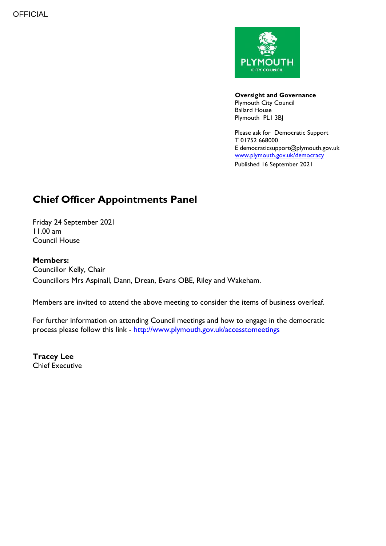

**Oversight and Governance** Plymouth City Council Ballard House Plymouth PL1 3BJ

Please ask for Democratic Support T 01752 668000 E democraticsupport@plymouth.gov.uk [www.plymouth.gov.uk/](http://www.plymouth.gov.uk/)democracy Published 16 September 2021

# **Chief Officer Appointments Panel**

Friday 24 September 2021 11.00 am Council House

### **Members:**

Councillor Kelly, Chair Councillors Mrs Aspinall, Dann, Drean, Evans OBE, Riley and Wakeham.

Members are invited to attend the above meeting to consider the items of business overleaf.

For further information on attending Council meetings and how to engage in the democratic process please follow this link - <http://www.plymouth.gov.uk/accesstomeetings>

**Tracey Lee** Chief Executive